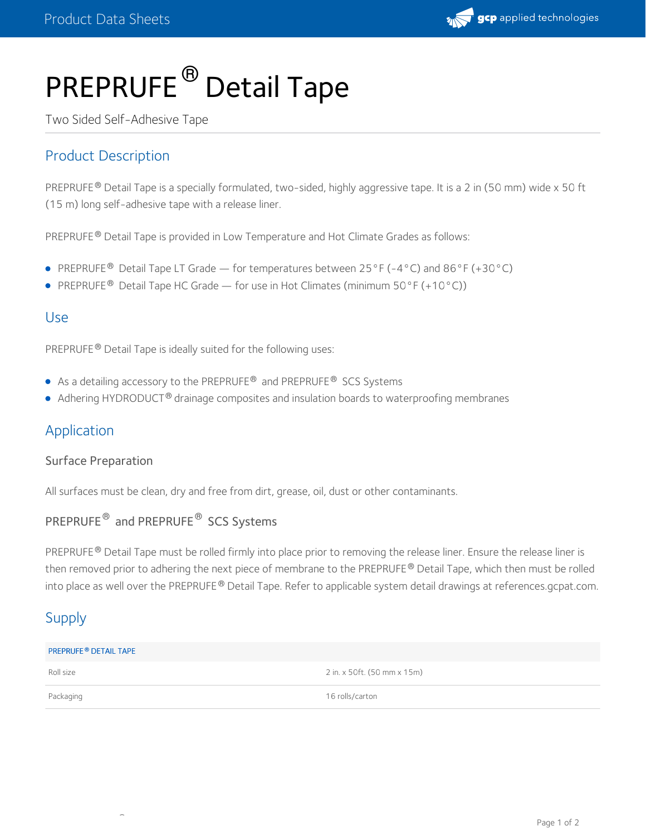

# PREPRUFE<sup>®</sup> Detail Tape

Two Sided Self-Adhesive Tape

## Product Description

PREPRUFE® Detail Tape is a specially formulated, two-sided, highly aggressive tape. It is a 2 in (50 mm) wide x 50 ft (15 m) long self-adhesive tape with a release liner.

PREPRUFE® Detail Tape is provided in Low Temperature and Hot Climate Grades as follows:

- PREPRUFE<sup>®</sup> Detail Tape LT Grade for temperatures between 25°F (-4°C) and 86°F (+30°C)
- PREPRUFE<sup>®</sup> Detail Tape HC Grade for use in Hot Climates (minimum 50°F (+10°C))

## Use

PREPRUFE® Detail Tape is ideally suited for the following uses:

- As a detailing accessory to the PREPRUFE<sup>®</sup> and PREPRUFE<sup>®</sup> SCS Systems
- $\bullet$  Adhering HYDRODUCT® drainage composites and insulation boards to waterproofing membranes

## Application

### Surface Preparation

All surfaces must be clean, dry and free from dirt, grease, oil, dust or other contaminants.

## PREPRUFE<sup>®</sup> and PREPRUFE<sup>®</sup> SCS Systems

PREPRUFE® Detail Tape must be rolled firmly into place prior to removing the release liner. Ensure the release liner is then removed prior to adhering the next piece of membrane to the PREPRUFE® Detail Tape, which then must be rolled into place as well over the PREPRUFE® Detail Tape. Refer to applicable system detail drawings at references.gcpat.com.

## Supply

#### **PREPRUFE® DETAIL TAPE**

®

Roll size 2 in. x 50ft. (50 mm x 15m)

Packaging 16 rolls/carton